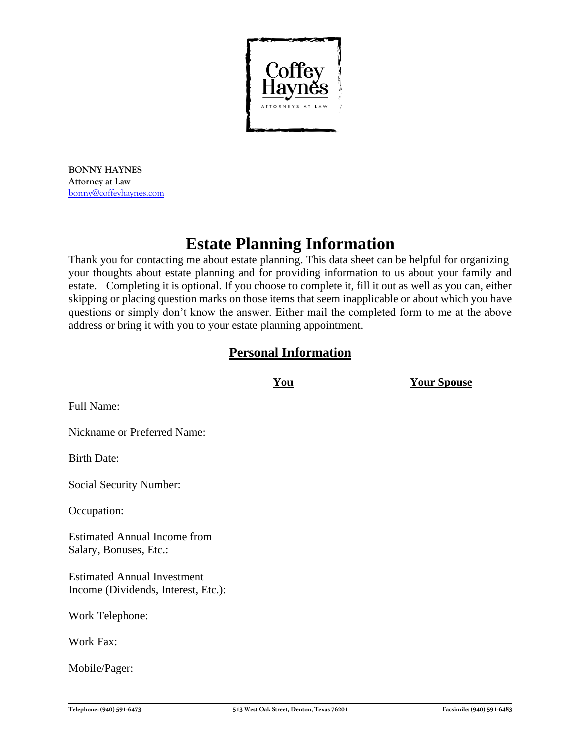

**BONNY HAYNES Attorney at Law** [bonny@coffeyhaynes.com](mailto:bonny@coffeyhaynes.com)

# **Estate Planning Information**

Thank you for contacting me about estate planning. This data sheet can be helpful for organizing your thoughts about estate planning and for providing information to us about your family and estate. Completing it is optional. If you choose to complete it, fill it out as well as you can, either skipping or placing question marks on those items that seem inapplicable or about which you have questions or simply don't know the answer. Either mail the completed form to me at the above address or bring it with you to your estate planning appointment.

## **Personal Information**

**You Your Spouse**

Full Name:

Nickname or Preferred Name:

Birth Date:

Social Security Number:

Occupation:

Estimated Annual Income from Salary, Bonuses, Etc.:

Estimated Annual Investment Income (Dividends, Interest, Etc.):

Work Telephone:

Work Fax:

Mobile/Pager: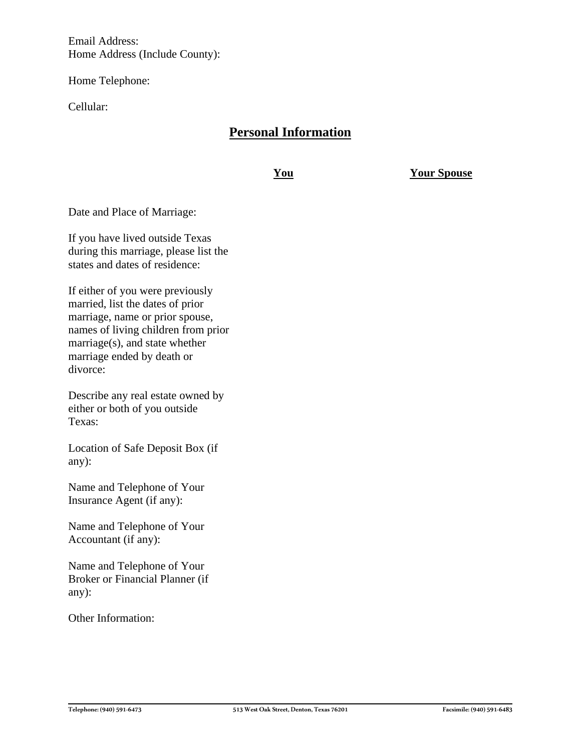Email Address: Home Address (Include County):

Home Telephone:

Cellular:

## **Personal Information**

**You Your Spouse**

Date and Place of Marriage:

If you have lived outside Texas during this marriage, please list the states and dates of residence:

If either of you were previously married, list the dates of prior marriage, name or prior spouse, names of living children from prior marriage(s), and state whether marriage ended by death or divorce:

Describe any real estate owned by either or both of you outside Texas:

Location of Safe Deposit Box (if any):

Name and Telephone of Your Insurance Agent (if any):

Name and Telephone of Your Accountant (if any):

Name and Telephone of Your Broker or Financial Planner (if any):

Other Information: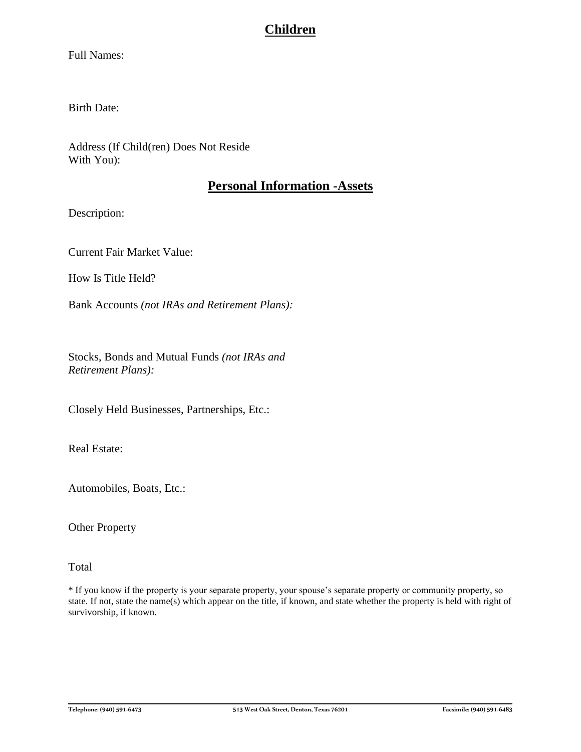## **Children**

Full Names:

Birth Date:

Address (If Child(ren) Does Not Reside With You):

### **Personal Information -Assets**

Description:

Current Fair Market Value:

How Is Title Held?

Bank Accounts *(not IRAs and Retirement Plans):*

Stocks, Bonds and Mutual Funds *(not IRAs and Retirement Plans):*

Closely Held Businesses, Partnerships, Etc.:

Real Estate:

Automobiles, Boats, Etc.:

Other Property

Total

\* If you know if the property is your separate property, your spouse's separate property or community property, so state. If not, state the name(s) which appear on the title, if known, and state whether the property is held with right of survivorship, if known.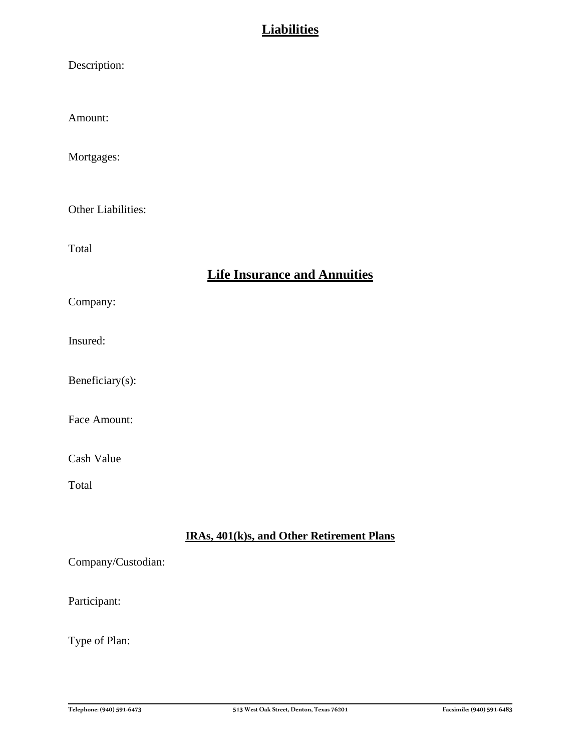## **Liabilities**

| Description:       |                                           |
|--------------------|-------------------------------------------|
| Amount:            |                                           |
| Mortgages:         |                                           |
| Other Liabilities: |                                           |
| Total              |                                           |
|                    | <b>Life Insurance and Annuities</b>       |
| Company:           |                                           |
| Insured:           |                                           |
| Beneficiary(s):    |                                           |
| Face Amount:       |                                           |
| Cash Value         |                                           |
| Total              |                                           |
|                    | IRAs, 401(k)s, and Other Retirement Plans |
| Company/Custodian: |                                           |

## Participant:

Type of Plan: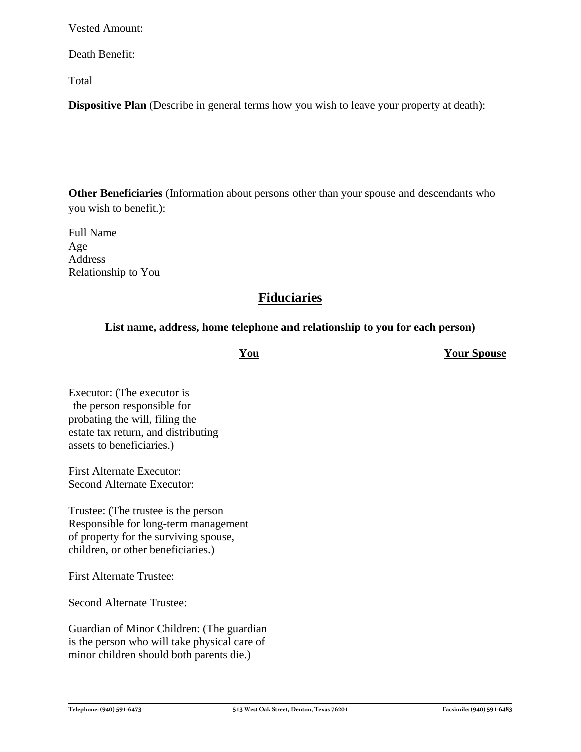Vested Amount:

Death Benefit:

Total

**Dispositive Plan** (Describe in general terms how you wish to leave your property at death):

**Other Beneficiaries** (Information about persons other than your spouse and descendants who you wish to benefit.):

Full Name Age Address Relationship to You

## **Fiduciaries**

#### **List name, address, home telephone and relationship to you for each person)**

**You Your Spouse**

Executor: (The executor is the person responsible for probating the will, filing the estate tax return, and distributing assets to beneficiaries.)

First Alternate Executor: Second Alternate Executor:

Trustee: (The trustee is the person Responsible for long-term management of property for the surviving spouse, children, or other beneficiaries.)

First Alternate Trustee:

Second Alternate Trustee:

Guardian of Minor Children: (The guardian is the person who will take physical care of minor children should both parents die.)